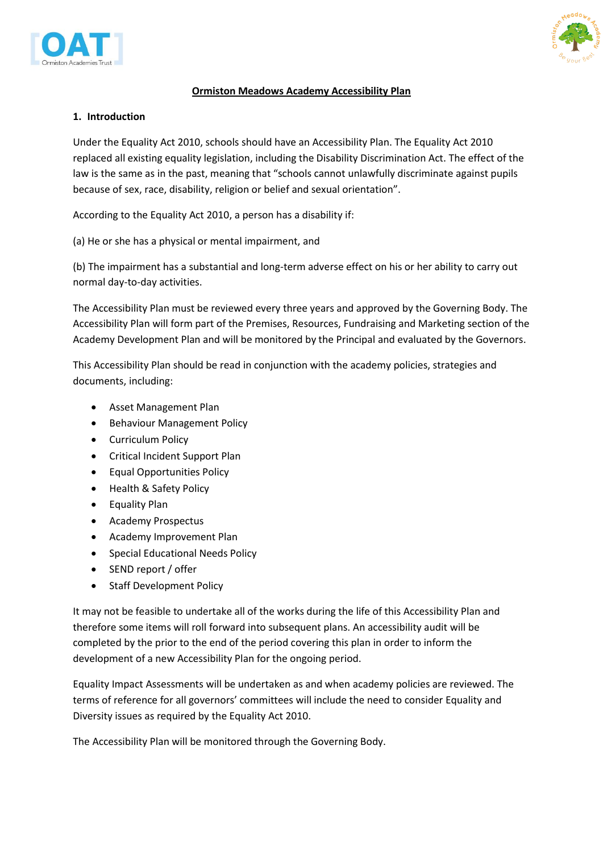



#### **Ormiston Meadows Academy Accessibility Plan**

#### **1. Introduction**

Under the Equality Act 2010, schools should have an Accessibility Plan. The Equality Act 2010 replaced all existing equality legislation, including the Disability Discrimination Act. The effect of the law is the same as in the past, meaning that "schools cannot unlawfully discriminate against pupils because of sex, race, disability, religion or belief and sexual orientation".

According to the Equality Act 2010, a person has a disability if:

(a) He or she has a physical or mental impairment, and

(b) The impairment has a substantial and long-term adverse effect on his or her ability to carry out normal day-to-day activities.

The Accessibility Plan must be reviewed every three years and approved by the Governing Body. The Accessibility Plan will form part of the Premises, Resources, Fundraising and Marketing section of the Academy Development Plan and will be monitored by the Principal and evaluated by the Governors.

This Accessibility Plan should be read in conjunction with the academy policies, strategies and documents, including:

- Asset Management Plan
- Behaviour Management Policy
- Curriculum Policy
- Critical Incident Support Plan
- Equal Opportunities Policy
- Health & Safety Policy
- Equality Plan
- Academy Prospectus
- Academy Improvement Plan
- **•** Special Educational Needs Policy
- SEND report / offer
- Staff Development Policy

It may not be feasible to undertake all of the works during the life of this Accessibility Plan and therefore some items will roll forward into subsequent plans. An accessibility audit will be completed by the prior to the end of the period covering this plan in order to inform the development of a new Accessibility Plan for the ongoing period.

Equality Impact Assessments will be undertaken as and when academy policies are reviewed. The terms of reference for all governors' committees will include the need to consider Equality and Diversity issues as required by the Equality Act 2010.

The Accessibility Plan will be monitored through the Governing Body.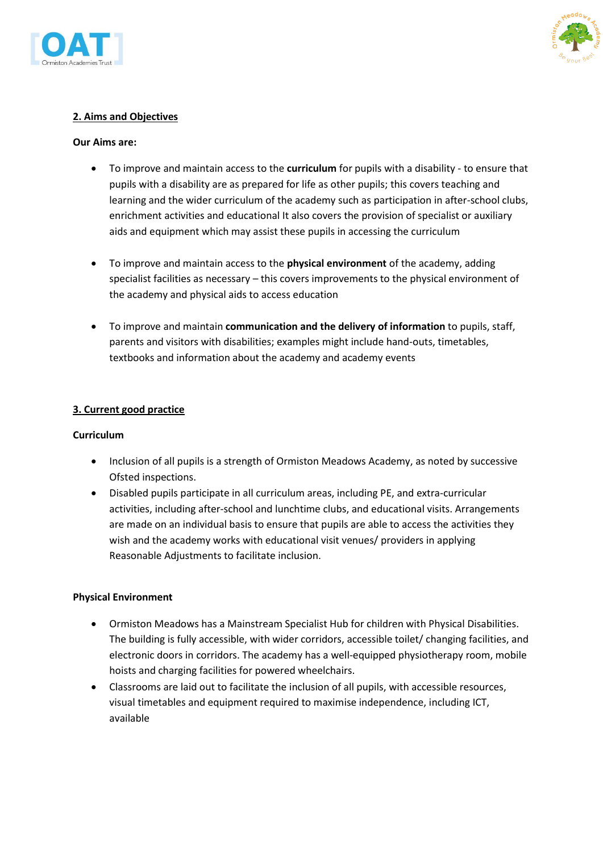



### **2. Aims and Objectives**

#### **Our Aims are:**

- To improve and maintain access to the **curriculum** for pupils with a disability to ensure that pupils with a disability are as prepared for life as other pupils; this covers teaching and learning and the wider curriculum of the academy such as participation in after-school clubs, enrichment activities and educational It also covers the provision of specialist or auxiliary aids and equipment which may assist these pupils in accessing the curriculum
- To improve and maintain access to the **physical environment** of the academy, adding specialist facilities as necessary – this covers improvements to the physical environment of the academy and physical aids to access education
- To improve and maintain **communication and the delivery of information** to pupils, staff, parents and visitors with disabilities; examples might include hand-outs, timetables, textbooks and information about the academy and academy events

#### **3. Current good practice**

#### **Curriculum**

- Inclusion of all pupils is a strength of Ormiston Meadows Academy, as noted by successive Ofsted inspections.
- Disabled pupils participate in all curriculum areas, including PE, and extra-curricular activities, including after-school and lunchtime clubs, and educational visits. Arrangements are made on an individual basis to ensure that pupils are able to access the activities they wish and the academy works with educational visit venues/ providers in applying Reasonable Adjustments to facilitate inclusion.

#### **Physical Environment**

- Ormiston Meadows has a Mainstream Specialist Hub for children with Physical Disabilities. The building is fully accessible, with wider corridors, accessible toilet/ changing facilities, and electronic doors in corridors. The academy has a well-equipped physiotherapy room, mobile hoists and charging facilities for powered wheelchairs.
- Classrooms are laid out to facilitate the inclusion of all pupils, with accessible resources, visual timetables and equipment required to maximise independence, including ICT, available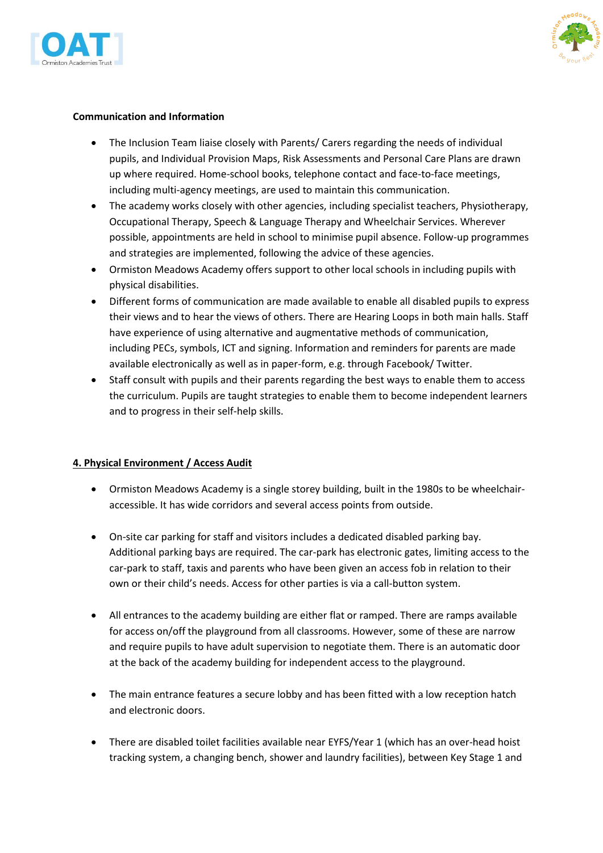



#### **Communication and Information**

- The Inclusion Team liaise closely with Parents/ Carers regarding the needs of individual pupils, and Individual Provision Maps, Risk Assessments and Personal Care Plans are drawn up where required. Home-school books, telephone contact and face-to-face meetings, including multi-agency meetings, are used to maintain this communication.
- The academy works closely with other agencies, including specialist teachers, Physiotherapy, Occupational Therapy, Speech & Language Therapy and Wheelchair Services. Wherever possible, appointments are held in school to minimise pupil absence. Follow-up programmes and strategies are implemented, following the advice of these agencies.
- Ormiston Meadows Academy offers support to other local schools in including pupils with physical disabilities.
- Different forms of communication are made available to enable all disabled pupils to express their views and to hear the views of others. There are Hearing Loops in both main halls. Staff have experience of using alternative and augmentative methods of communication, including PECs, symbols, ICT and signing. Information and reminders for parents are made available electronically as well as in paper-form, e.g. through Facebook/ Twitter.
- Staff consult with pupils and their parents regarding the best ways to enable them to access the curriculum. Pupils are taught strategies to enable them to become independent learners and to progress in their self-help skills.

### **4. Physical Environment / Access Audit**

- Ormiston Meadows Academy is a single storey building, built in the 1980s to be wheelchairaccessible. It has wide corridors and several access points from outside.
- On-site car parking for staff and visitors includes a dedicated disabled parking bay. Additional parking bays are required. The car-park has electronic gates, limiting access to the car-park to staff, taxis and parents who have been given an access fob in relation to their own or their child's needs. Access for other parties is via a call-button system.
- All entrances to the academy building are either flat or ramped. There are ramps available for access on/off the playground from all classrooms. However, some of these are narrow and require pupils to have adult supervision to negotiate them. There is an automatic door at the back of the academy building for independent access to the playground.
- The main entrance features a secure lobby and has been fitted with a low reception hatch and electronic doors.
- There are disabled toilet facilities available near EYFS/Year 1 (which has an over-head hoist tracking system, a changing bench, shower and laundry facilities), between Key Stage 1 and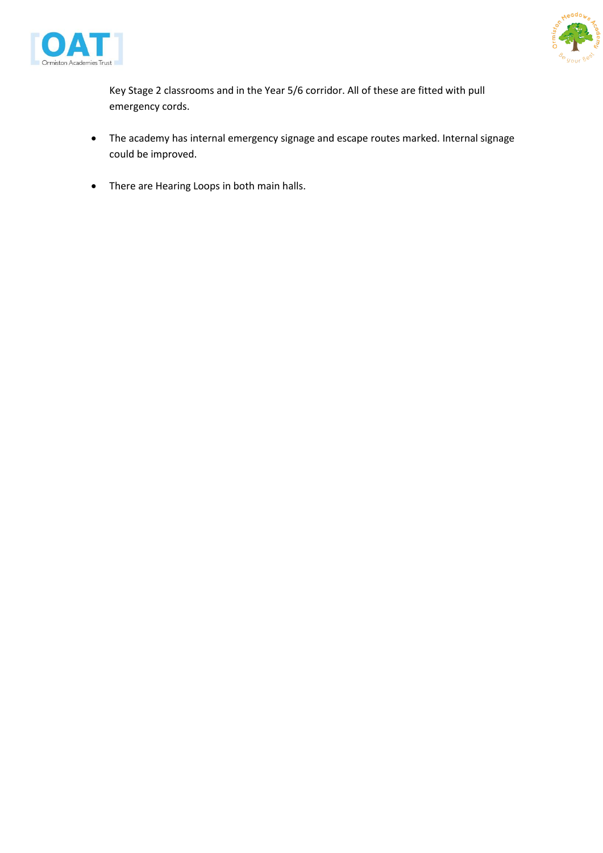



Key Stage 2 classrooms and in the Year 5/6 corridor. All of these are fitted with pull emergency cords.

- The academy has internal emergency signage and escape routes marked. Internal signage could be improved.
- There are Hearing Loops in both main halls.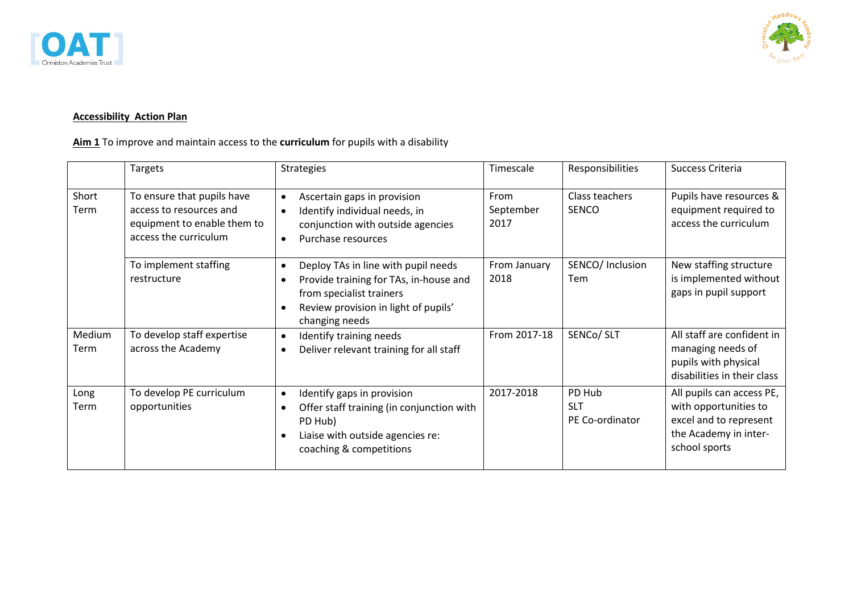



## **Accessibility Action Plan**

**Aim 1** To improve and maintain access to the **curriculum** for pupils with a disability

|                       | Targets                                                                                                       | <b>Strategies</b>                                                                                                                                                                                          | Timescale                 | Responsibilities                        | Success Criteria                                                                                                       |
|-----------------------|---------------------------------------------------------------------------------------------------------------|------------------------------------------------------------------------------------------------------------------------------------------------------------------------------------------------------------|---------------------------|-----------------------------------------|------------------------------------------------------------------------------------------------------------------------|
| Short<br>Term         | To ensure that pupils have<br>access to resources and<br>equipment to enable them to<br>access the curriculum | Ascertain gaps in provision<br>$\bullet$<br>Identify individual needs, in<br>$\bullet$<br>conjunction with outside agencies<br>Purchase resources<br>$\bullet$                                             | From<br>September<br>2017 | Class teachers<br><b>SENCO</b>          | Pupils have resources &<br>equipment required to<br>access the curriculum                                              |
|                       | To implement staffing<br>restructure                                                                          | Deploy TAs in line with pupil needs<br>$\bullet$<br>Provide training for TAs, in-house and<br>$\bullet$<br>from specialist trainers<br>Review provision in light of pupils'<br>$\bullet$<br>changing needs | From January<br>2018      | SENCO/ Inclusion<br>Tem                 | New staffing structure<br>is implemented without<br>gaps in pupil support                                              |
| Medium<br><b>Term</b> | To develop staff expertise<br>across the Academy                                                              | Identify training needs<br>$\bullet$<br>Deliver relevant training for all staff<br>$\bullet$                                                                                                               | From 2017-18              | SENCo/ SLT                              | All staff are confident in<br>managing needs of<br>pupils with physical<br>disabilities in their class                 |
| Long<br>Term          | To develop PE curriculum<br>opportunities                                                                     | Identify gaps in provision<br>$\bullet$<br>Offer staff training (in conjunction with<br>$\bullet$<br>PD Hub)<br>Liaise with outside agencies re:<br>$\bullet$<br>coaching & competitions                   | 2017-2018                 | PD Hub<br><b>SLT</b><br>PE Co-ordinator | All pupils can access PE,<br>with opportunities to<br>excel and to represent<br>the Academy in inter-<br>school sports |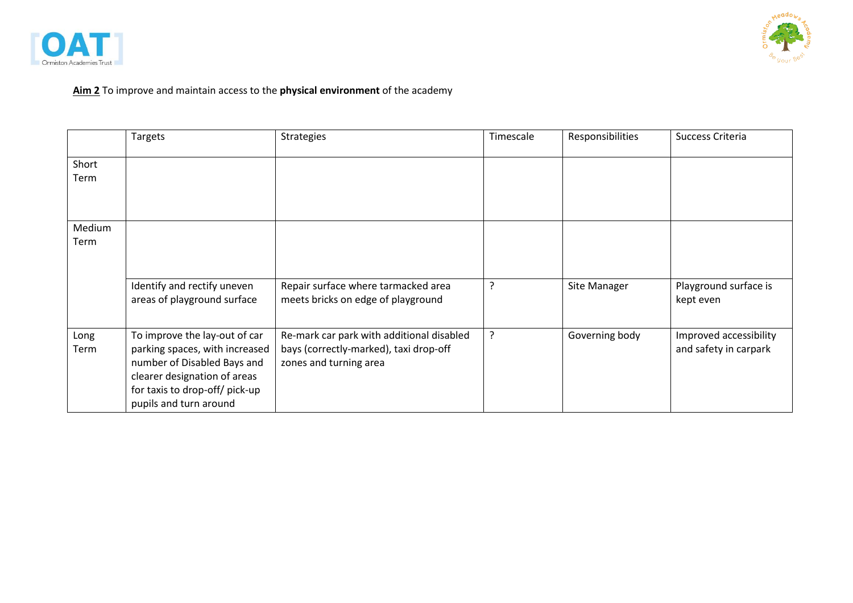



# **Aim 2** To improve and maintain access to the **physical environment** of the academy

|                | Targets                                                                                                                                                                                    | <b>Strategies</b>                                                                                             | Timescale | Responsibilities | Success Criteria                                |
|----------------|--------------------------------------------------------------------------------------------------------------------------------------------------------------------------------------------|---------------------------------------------------------------------------------------------------------------|-----------|------------------|-------------------------------------------------|
| Short<br>Term  |                                                                                                                                                                                            |                                                                                                               |           |                  |                                                 |
| Medium<br>Term | Identify and rectify uneven<br>areas of playground surface                                                                                                                                 | Repair surface where tarmacked area<br>meets bricks on edge of playground                                     | ?         | Site Manager     | Playground surface is                           |
|                |                                                                                                                                                                                            |                                                                                                               |           |                  | kept even                                       |
| Long<br>Term   | To improve the lay-out of car<br>parking spaces, with increased<br>number of Disabled Bays and<br>clearer designation of areas<br>for taxis to drop-off/ pick-up<br>pupils and turn around | Re-mark car park with additional disabled<br>bays (correctly-marked), taxi drop-off<br>zones and turning area | ?         | Governing body   | Improved accessibility<br>and safety in carpark |